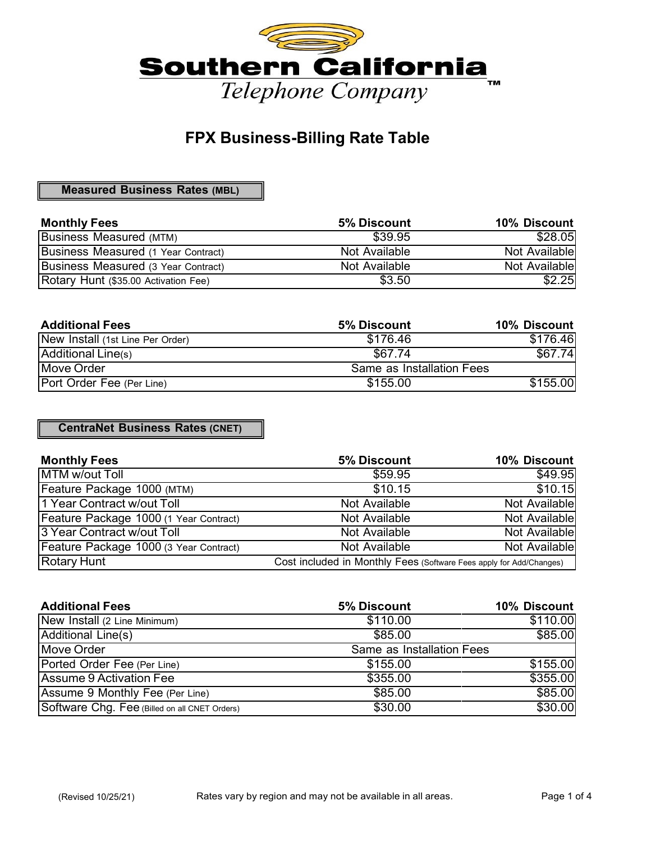

## **FPX Business-Billing Rate Table**

**Measured Business Rates (MBL)**

| <b>Monthly Fees</b>                  | <b>5% Discount</b> | 10% Discount  |
|--------------------------------------|--------------------|---------------|
| <b>Business Measured (MTM)</b>       | \$39.95            | \$28.05       |
| Business Measured (1 Year Contract)  | Not Available      | Not Available |
| Business Measured (3 Year Contract)  | Not Available      | Not Available |
| Rotary Hunt (\$35.00 Activation Fee) | \$3.50             | \$2.25        |

| <b>Additional Fees</b>           | 5% Discount               | 10% Discount |
|----------------------------------|---------------------------|--------------|
| New Install (1st Line Per Order) | \$176.46                  | \$176.46     |
| Additional Line(s)               | \$67.74                   | \$67.74      |
| <b>Move Order</b>                | Same as Installation Fees |              |
| Port Order Fee (Per Line)        | \$155.00                  | \$155.00     |

**CentraNet Business Rates (CNET)**

| <b>Monthly Fees</b>                    | 5% Discount                                                         | 10% Discount  |
|----------------------------------------|---------------------------------------------------------------------|---------------|
| MTM w/out Toll                         | \$59.95                                                             | \$49.95       |
| Feature Package 1000 (MTM)             | \$10.15                                                             | \$10.15       |
| 1 Year Contract w/out Toll             | Not Available                                                       | Not Available |
| Feature Package 1000 (1 Year Contract) | Not Available                                                       | Not Available |
| 3 Year Contract w/out Toll             | Not Available                                                       | Not Available |
| Feature Package 1000 (3 Year Contract) | Not Available                                                       | Not Available |
| <b>Rotary Hunt</b>                     | Cost included in Monthly Fees (Software Fees apply for Add/Changes) |               |

| <b>Additional Fees</b>                        | 5% Discount               | 10% Discount |
|-----------------------------------------------|---------------------------|--------------|
| New Install (2 Line Minimum)                  | \$110.00                  | \$110.00     |
| Additional Line(s)                            | \$85.00                   | \$85.00      |
| Move Order                                    | Same as Installation Fees |              |
| Ported Order Fee (Per Line)                   | \$155.00                  | \$155.00     |
| Assume 9 Activation Fee                       | \$355.00                  | \$355.00     |
| Assume 9 Monthly Fee (Per Line)               | \$85.00                   | \$85.00      |
| Software Chg. Fee (Billed on all CNET Orders) | \$30.00                   | \$30.00      |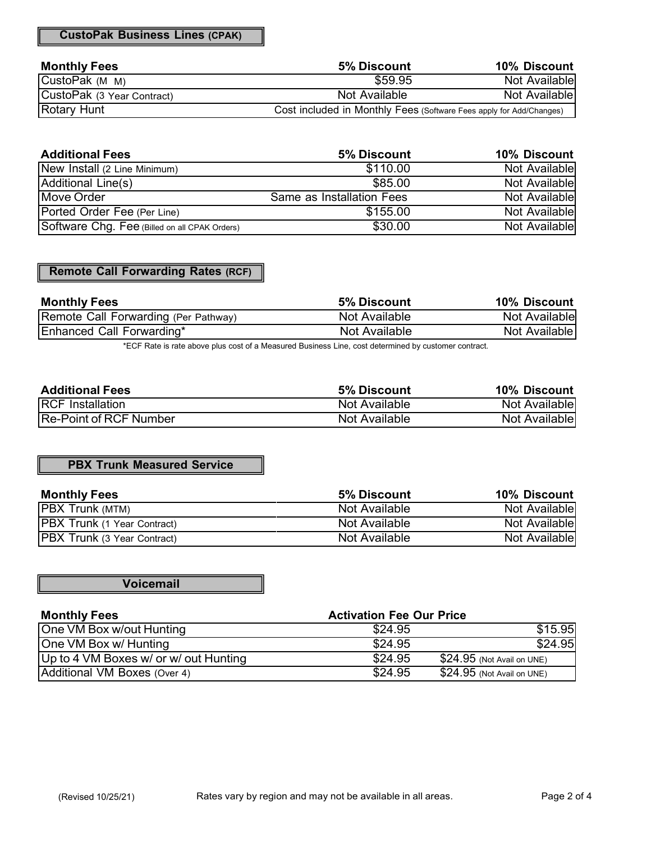**CustoPak Business Lines (CPAK)**

| <b>Monthly Fees</b>        | 5% Discount                                                         | 10% Discount  |
|----------------------------|---------------------------------------------------------------------|---------------|
| CustoPak (M M)             | \$59.95                                                             | Not Available |
| CustoPak (3 Year Contract) | Not Available                                                       | Not Available |
| <b>Rotary Hunt</b>         | Cost included in Monthly Fees (Software Fees apply for Add/Changes) |               |

| <b>Additional Fees</b>                        | 5% Discount               | 10% Discount   |
|-----------------------------------------------|---------------------------|----------------|
| New Install (2 Line Minimum)                  | \$110.00                  | Not Available  |
| Additional Line(s)                            | \$85.00                   | Not Available  |
| <b>Move Order</b>                             | Same as Installation Fees | Not Availablel |
| Ported Order Fee (Per Line)                   | \$155.00                  | Not Available  |
| Software Chg. Fee (Billed on all CPAK Orders) | \$30.00                   | Not Available  |

## **Remote Call Forwarding Rates (RCF)**

| <b>Monthly Fees</b>                  | <b>5% Discount</b> | 10% Discount  |
|--------------------------------------|--------------------|---------------|
| Remote Call Forwarding (Per Pathway) | Not Available      | Not Available |
| Enhanced Call Forwarding*            | Not Available      | Not Available |

\*ECF Rate is rate above plus cost of a Measured Business Line, cost determined by customer contract.

| <b>Additional Fees</b>        | 5% Discount   | 10% Discount  |
|-------------------------------|---------------|---------------|
| <b>RCF</b> Installation       | Not Available | Not Available |
| <b>Re-Point of RCF Number</b> | Not Available | Not Available |

#### **PBX Trunk Measured Service**

| <b>Monthly Fees</b>                | <b>5% Discount</b> | 10% Discount          |
|------------------------------------|--------------------|-----------------------|
| <b>PBX Trunk (MTM)</b>             | Not Available      | Not Available         |
| <b>PBX Trunk</b> (1 Year Contract) | Not Available      | Not Available         |
| <b>PBX Trunk</b> (3 Year Contract) | Not Available      | <b>Not Availablel</b> |

**Voicemail**

| <b>Monthly Fees</b>                   | <b>Activation Fee Our Price</b> |                             |
|---------------------------------------|---------------------------------|-----------------------------|
| One VM Box w/out Hunting              | \$24.95                         | \$15.95                     |
| One VM Box w/ Hunting                 | \$24.95                         | \$24.95                     |
| Up to 4 VM Boxes w/ or w/ out Hunting | \$24.95                         | $$24.95$ (Not Avail on UNE) |
| Additional VM Boxes (Over 4)          | \$24.95                         | $$24.95$ (Not Avail on UNE) |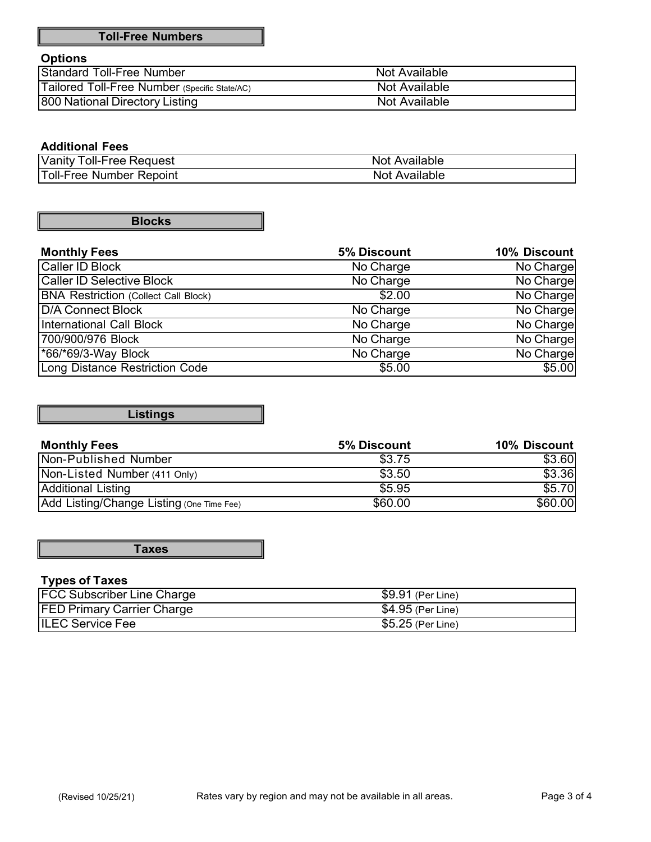#### **Options**

| Standard Toll-Free Number                     | Not Available |
|-----------------------------------------------|---------------|
| Tailored Toll-Free Number (Specific State/AC) | Not Available |
| 800 National Directory Listing                | Not Available |

## **Additional Fees**

| Vanity<br><b>Request</b><br>oll-Free           | Available<br>Not |
|------------------------------------------------|------------------|
| <b>Toll-Free</b><br><b>Repoint</b><br>. Number | Available<br>Not |

**Blocks**

| <b>Monthly Fees</b>                         | 5% Discount | 10% Discount |
|---------------------------------------------|-------------|--------------|
| Caller ID Block                             | No Charge   | No Charge    |
| <b>Caller ID Selective Block</b>            | No Charge   | No Charge    |
| <b>BNA Restriction (Collect Call Block)</b> | \$2.00      | No Charge    |
| <b>D/A Connect Block</b>                    | No Charge   | No Charge    |
| <b>International Call Block</b>             | No Charge   | No Charge    |
| 700/900/976 Block                           | No Charge   | No Charge    |
| *66/*69/3-Way Block                         | No Charge   | No Charge    |
| <b>Long Distance Restriction Code</b>       | \$5.00      | \$5.00       |

**Listings**

| <b>Monthly Fees</b>                       | <b>5% Discount</b> | 10% Discount |
|-------------------------------------------|--------------------|--------------|
| Non-Published Number                      | \$3.75             | \$3.60       |
| Non-Listed Number (411 Only)              | \$3.50             | \$3.36       |
| Additional Listing                        | \$5.95             | \$5.70       |
| Add Listing/Change Listing (One Time Fee) | \$60.00            | \$60.00      |

**Taxes**

## **Types of Taxes**

| <b>FCC Subscriber Line Charge</b> | \$9.91 (Per Line) |
|-----------------------------------|-------------------|
| <b>FED Primary Carrier Charge</b> | \$4.95 (Per Line) |
| <b>ILEC Service Fee</b>           | \$5.25 (Per Line) |